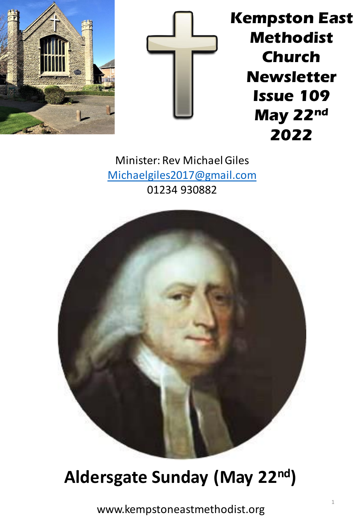



**Kempston East Methodist Church Newsletter Issue 109 May 22nd 2022**

Minister: Rev Michael Giles [Michaelgiles2017@gmail.com](mailto:Michaelgiles2017@gmail.com) 01234 930882



## **Aldersgate Sunday (May 22nd)**

www.kempstoneastmethodist.org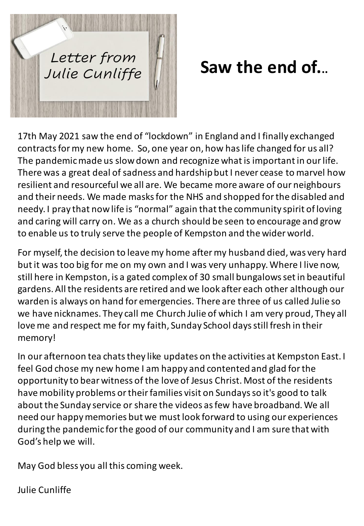

# **Saw the end of...**

17th May 2021 saw the end of "lockdown" in England and I finally exchanged contracts for my new home. So, one year on, how has life changed for us all? The pandemic made us slow down and recognize what is important in our life. There was a great deal of sadness and hardship but I never cease to marvel how resilient and resourceful we all are. We became more aware of our neighbours and their needs. We made masks for the NHS and shopped for the disabled and needy. I pray that now life is "normal" again that the community spirit of loving and caring will carry on. We as a church should be seen to encourage and grow to enable us to truly serve the people of Kempston and the wider world.

For myself, the decision to leave my home after my husband died, was very hard but it was too big for me on my own and I was very unhappy. Where I live now, still here in Kempston, is a gated complex of 30 small bungalows set in beautiful gardens. All the residents are retired and we look after each other although our warden is always on hand for emergencies. There are three of us called Julie so we have nicknames. They call me Church Julie of which I am very proud, They all love me and respect me for my faith, Sunday School days still fresh in their memory!

In our afternoon tea chats they like updates on the activities at Kempston East. I feel God chose my new home I am happy and contented and glad for the opportunity to bear witness of the love of Jesus Christ. Most of the residents have mobility problems or their families visit on Sundays so it's good to talk about the Sunday service or share the videos as few have broadband. We all need our happy memories but we must look forward to using our experiences during the pandemic for the good of our community and I am sure that with God's help we will.

May God bless you all this coming week.

Julie Cunliffe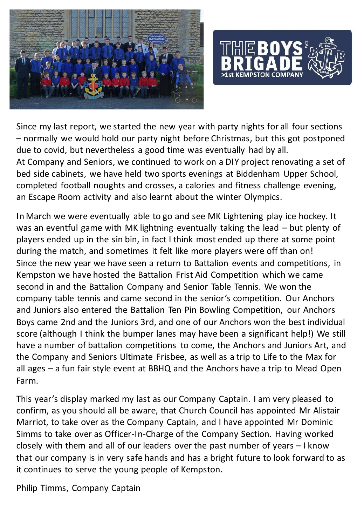



Since my last report, we started the new year with party nights for all four sections – normally we would hold our party night before Christmas, but this got postponed due to covid, but nevertheless a good time was eventually had by all. At Company and Seniors, we continued to work on a DIY project renovating a set of bed side cabinets, we have held two sports evenings at Biddenham Upper School, completed football noughts and crosses, a calories and fitness challenge evening, an Escape Room activity and also learnt about the winter Olympics.

In March we were eventually able to go and see MK Lightening play ice hockey. It was an eventful game with MK lightning eventually taking the lead – but plenty of players ended up in the sin bin, in fact I think most ended up there at some point during the match, and sometimes it felt like more players were off than on! Since the new year we have seen a return to Battalion events and competitions, in Kempston we have hosted the Battalion Frist Aid Competition which we came second in and the Battalion Company and Senior Table Tennis. We won the company table tennis and came second in the senior's competition. Our Anchors and Juniors also entered the Battalion Ten Pin Bowling Competition, our Anchors Boys came 2nd and the Juniors 3rd, and one of our Anchors won the best individual score (although I think the bumper lanes may have been a significant help!) We still have a number of battalion competitions to come, the Anchors and Juniors Art, and the Company and Seniors Ultimate Frisbee, as well as a trip to Life to the Max for all ages – a fun fair style event at BBHQ and the Anchors have a trip to Mead Open Farm.

This year's display marked my last as our Company Captain. I am very pleased to confirm, as you should all be aware, that Church Council has appointed Mr Alistair Marriot, to take over as the Company Captain, and I have appointed Mr Dominic Simms to take over as Officer-In-Charge of the Company Section. Having worked closely with them and all of our leaders over the past number of years – I know that our company is in very safe hands and has a bright future to look forward to as it continues to serve the young people of Kempston.

Philip Timms, Company Captain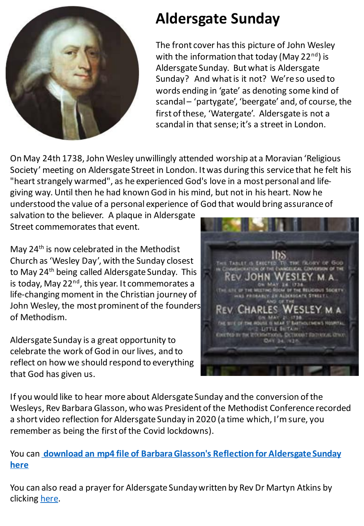

### **Aldersgate Sunday**

The front cover has this picture of John Wesley with the information that today (May  $22<sup>nd</sup>$ ) is Aldersgate Sunday. But what is Aldersgate Sunday? And what is it not? We're so used to words ending in 'gate' as denoting some kind of scandal – 'partygate', 'beergate' and, of course, the first of these, 'Watergate'. Aldersgate is not a scandal in that sense; it's a street in London.

On May 24th 1738, John Wesley unwillingly attended worship at a Moravian 'Religious Society' meeting on Aldersgate Street in London. It was during this service that he felt his "heart strangely warmed", as he experienced God's love in a most personal and lifegiving way. Until then he had known God in his mind, but not in his heart. Now he understood the value of a personal experience of God that would bring assurance of

salvation to the believer. A plaque in Aldersgate Street commemorates that event.

May 24<sup>th</sup> is now celebrated in the Methodist Church as 'Wesley Day', with the Sunday closest to May 24<sup>th</sup> being called Aldersgate Sunday. This is today, May  $22^{nd}$ , this year. It commemorates a life-changing moment in the Christian journey of John Wesley, the most prominent of the founders of Methodism.

Aldersgate Sunday is a great opportunity to celebrate the work of God in our lives, and to reflect on how we should respond to everything that God has given us.



If you would like to hear more about Aldersgate Sunday and the conversion of the Wesleys, Rev Barbara Glasson, who was President of the Methodist Conference recorded a short video reflection for Aldersgate Sunday in 2020 (a time which, I'm sure, you remember as being the first of the Covid lockdowns).

#### You can **download an mp4 file of Barbara Glasson's [Reflection for Aldersgate Sunday](https://vimeo.com/methodistchurch/download/420653551/6b9aea7a00)  here**

You can also read a prayer for Aldersgate Sunday written by Rev Dr Martyn Atkins by clicking [here](https://www.methodist.org.uk/our-faith/worship/singing-the-faith-plus/seasons-and-themes/special-sundays/aldersgate-sunday/).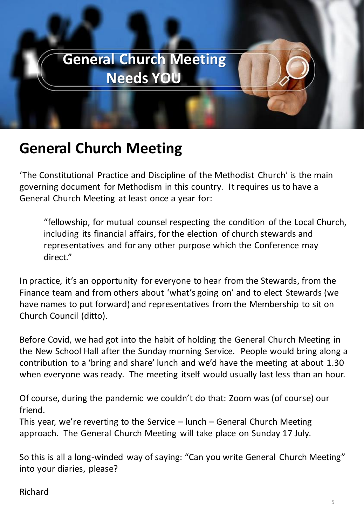

#### **General Church Meeting**

'The Constitutional Practice and Discipline of the Methodist Church' is the main governing document for Methodism in this country. It requires us to have a General Church Meeting at least once a year for:

"fellowship, for mutual counsel respecting the condition of the Local Church, including its financial affairs, for the election of church stewards and representatives and for any other purpose which the Conference may direct."

In practice, it's an opportunity for everyone to hear from the Stewards, from the Finance team and from others about 'what's going on' and to elect Stewards (we have names to put forward) and representatives from the Membership to sit on Church Council (ditto).

Before Covid, we had got into the habit of holding the General Church Meeting in the New School Hall after the Sunday morning Service. People would bring along a contribution to a 'bring and share' lunch and we'd have the meeting at about 1.30 when everyone was ready. The meeting itself would usually last less than an hour.

Of course, during the pandemic we couldn't do that: Zoom was (of course) our friend.

This year, we're reverting to the Service – lunch – General Church Meeting approach. The General Church Meeting will take place on Sunday 17 July.

So this is all a long-winded way of saying: "Can you write General Church Meeting" into your diaries, please?

#### Richard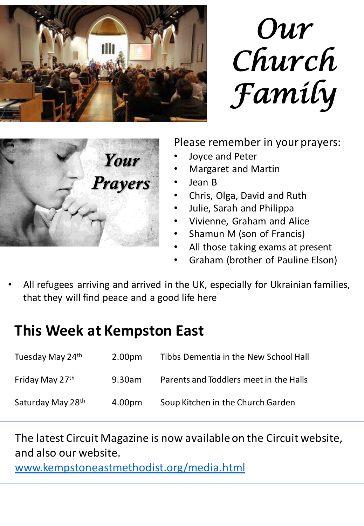

*Our Church Family*



Please remember in your prayers:

- Joyce and Peter
- Margaret and Martin
- Jean B
- Chris, Olga, David and Ruth
- Julie, Sarah and Philippa
- Vivienne, Graham and Alice
- Shamun M (son of Francis)
- All those taking exams at present
- Graham (brother of Pauline Elson)
- All refugees arriving and arrived in the UK, especially for Ukrainian families, that they will find peace and a good life here

### **This Week at Kempston East**

| Tuesday May 24th  | 2.00 <sub>pm</sub> | Tibbs Dementia in the New School Hall  |
|-------------------|--------------------|----------------------------------------|
| Friday May 27th   | 9.30am             | Parents and Toddlers meet in the Halls |
| Saturday May 28th | 4.00pm             | Soup Kitchen in the Church Garden      |

The latest Circuit Magazine is now available on the Circuit website, and also our website.

[www.kempstoneastmethodist.org/media.html](http://www.kempstoneastmethodist.org/media.html)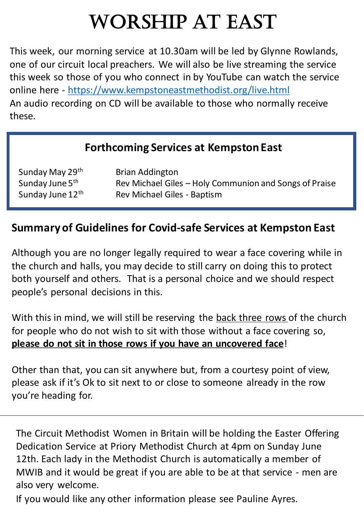# Worship at East

This week, our morning service at 10.30am will be led by Glynne Rowlands, one of our circuit local preachers. We will also be live streaming the service this week so those of you who connect in by YouTube can watch the service online here - <https://www.kempstoneastmethodist.org/live.html> An audio recording on CD will be available to those who normally receive these.

#### **Forthcoming Services at Kempston East**

| Sunday May 29th  | <b>Brian Addington</b>                                 |
|------------------|--------------------------------------------------------|
| Sunday June 5th  | Rev Michael Giles – Holy Communion and Songs of Praise |
| Sunday June 12th | Rev Michael Giles - Baptism                            |

#### **Summary of Guidelines for Covid-safe Services at Kempston East**

Although you are no longer legally required to wear a face covering while in the church and halls, you may decide to still carry on doing this to protect both yourself and others. That is a personal choice and we should respect people's personal decisions in this.

With this in mind, we will still be reserving the back three rows of the church for people who do not wish to sit with those without a face covering so, **please do not sit in those rows if you have an uncovered face**!

Other than that, you can sit anywhere but, from a courtesy point of view, please ask if it's Ok to sit next to or close to someone already in the row you're heading for.

The Circuit Methodist Women in Britain will be holding the Easter Offering Dedication Service at Priory Methodist Church at 4pm on Sunday June 12th. Each lady in the Methodist Church is automatically a member of MWIB and it would be great if you are able to be at that service - men are also very welcome.

If you would like any other information please see Pauline Ayres.